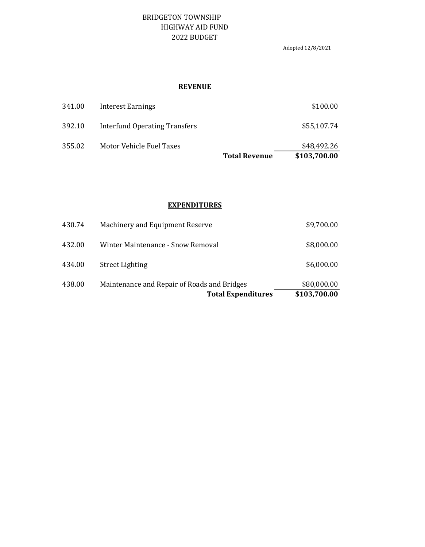## BRIDGETON TOWNSHIP HIGHWAY AID FUND 2022 BUDGET

Adopted 12/8/2021

#### **REVENUE**

|        |                               | <b>Total Revenue</b> | \$103,700.00 |
|--------|-------------------------------|----------------------|--------------|
| 355.02 | Motor Vehicle Fuel Taxes      |                      | \$48,492.26  |
| 392.10 | Interfund Operating Transfers |                      | \$55,107.74  |
| 341.00 | Interest Earnings             |                      | \$100.00     |

#### **EXPENDITURES**

|        | <b>Total Expenditures</b>                   | \$103,700.00 |
|--------|---------------------------------------------|--------------|
| 438.00 | Maintenance and Repair of Roads and Bridges | \$80,000.00  |
| 434.00 | <b>Street Lighting</b>                      | \$6,000.00   |
| 432.00 | Winter Maintenance - Snow Removal           | \$8,000.00   |
| 430.74 | Machinery and Equipment Reserve             | \$9,700.00   |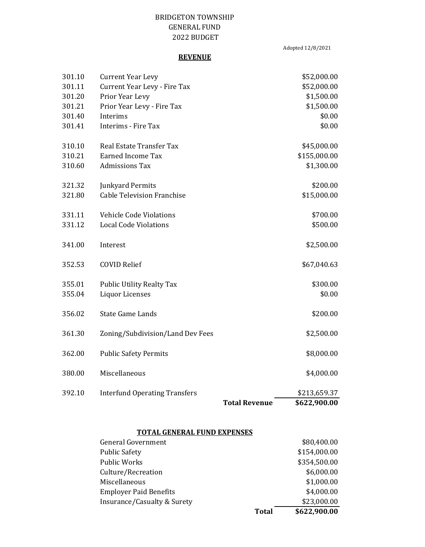## BRIDGETON TOWNSHIP GENERAL FUND 2022 BUDGET

Adopted 12/8/2021

#### **REVENUE**

|        |                                      | <b>Total Revenue</b> | \$622,900.00 |
|--------|--------------------------------------|----------------------|--------------|
| 392.10 | <b>Interfund Operating Transfers</b> |                      | \$213,659.37 |
| 380.00 | Miscellaneous                        |                      | \$4,000.00   |
| 362.00 | <b>Public Safety Permits</b>         |                      | \$8,000.00   |
| 361.30 | Zoning/Subdivision/Land Dev Fees     |                      | \$2,500.00   |
| 356.02 | <b>State Game Lands</b>              |                      | \$200.00     |
| 355.04 | <b>Liquor Licenses</b>               |                      | \$0.00       |
| 355.01 | <b>Public Utility Realty Tax</b>     |                      | \$300.00     |
| 352.53 | <b>COVID Relief</b>                  |                      | \$67,040.63  |
| 341.00 | Interest                             |                      | \$2,500.00   |
| 331.12 | <b>Local Code Violations</b>         |                      | \$500.00     |
| 331.11 | <b>Vehicle Code Violations</b>       |                      | \$700.00     |
| 321.80 | <b>Cable Television Franchise</b>    |                      | \$15,000.00  |
| 321.32 | <b>Junkyard Permits</b>              |                      | \$200.00     |
| 310.60 | <b>Admissions Tax</b>                |                      | \$1,300.00   |
| 310.21 | <b>Earned Income Tax</b>             |                      | \$155,000.00 |
| 310.10 | <b>Real Estate Transfer Tax</b>      |                      | \$45,000.00  |
| 301.41 | Interims - Fire Tax                  |                      | \$0.00       |
| 301.40 | Interims                             |                      | \$0.00       |
| 301.21 | Prior Year Levy - Fire Tax           |                      | \$1,500.00   |
| 301.20 | Prior Year Levy                      |                      | \$1,500.00   |
| 301.11 | Current Year Levy - Fire Tax         |                      | \$52,000.00  |
| 301.10 | <b>Current Year Levy</b>             |                      | \$52,000.00  |

# **TOTAL GENERAL FUND EXPENSES**

|                               | <b>Total</b> | \$622,900.00 |
|-------------------------------|--------------|--------------|
| Insurance/Casualty & Surety   |              | \$23,000.00  |
| <b>Employer Paid Benefits</b> |              | \$4,000.00   |
| Miscellaneous                 |              | \$1,000.00   |
| Culture/Recreation            |              | \$6,000.00   |
| <b>Public Works</b>           |              | \$354,500.00 |
| <b>Public Safety</b>          |              | \$154,000.00 |
| General Government            |              | \$80,400.00  |